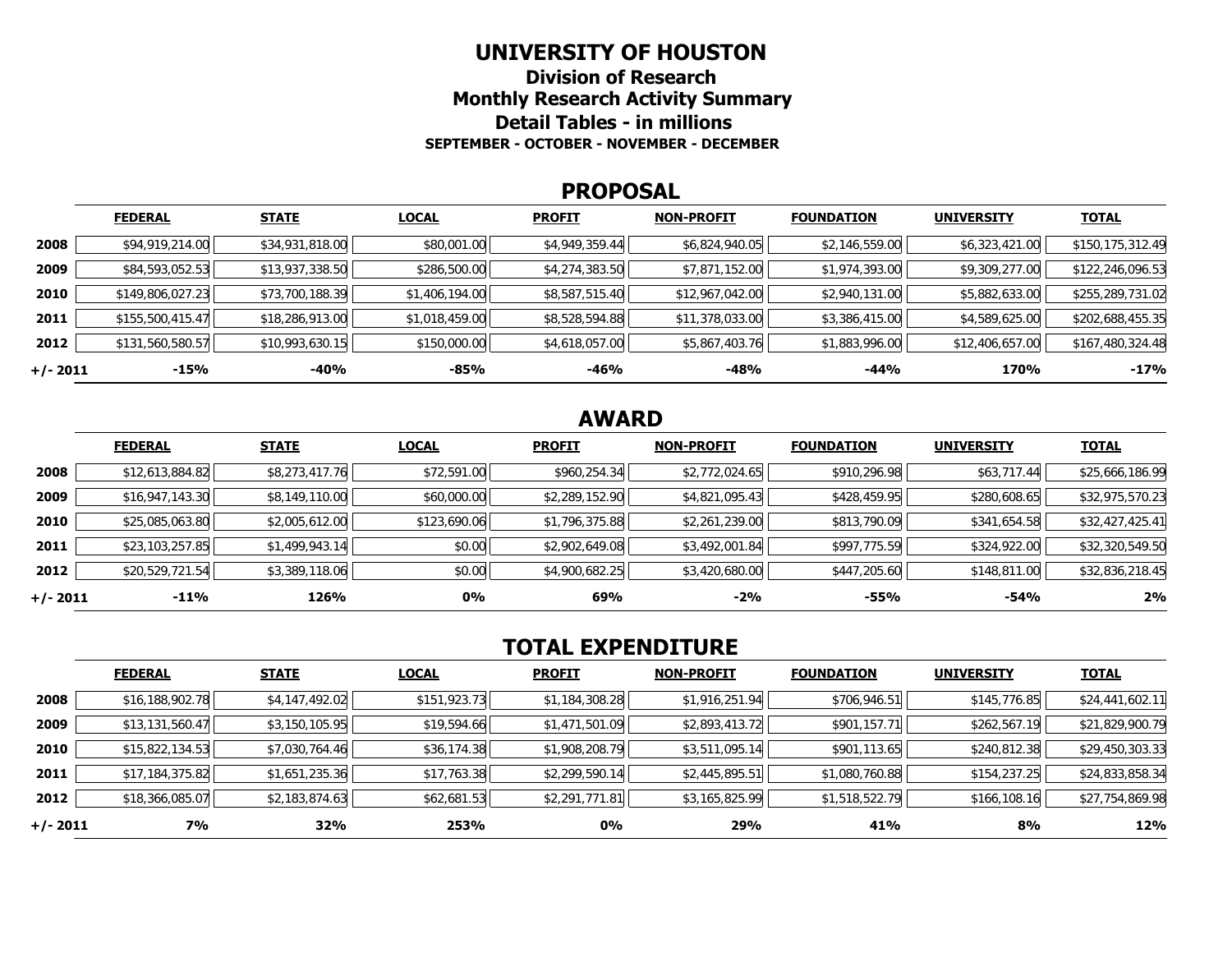#### **UNIVERSITY OF HOUSTON**

**Division of Research Monthly Research Activity Summary Detail Tables - in millions SEPTEMBER - OCTOBER - NOVEMBER - DECEMBER** 

#### **PROPOSAL**

|            | <b>FEDERAL</b>   | <b>STATE</b>    | <b>LOCAL</b>   | <b>PROFIT</b>  | <b>NON-PROFIT</b> | <b>FOUNDATION</b> | <b>UNIVERSITY</b> | <b>TOTAL</b>     |
|------------|------------------|-----------------|----------------|----------------|-------------------|-------------------|-------------------|------------------|
| 2008       | \$94,919,214.00  | \$34,931,818.00 | \$80,001.00    | \$4,949,359.44 | \$6,824,940.05    | \$2,146,559.00    | \$6,323,421.00    | \$150,175,312.49 |
| 2009       | \$84,593,052.53  | \$13,937,338.50 | \$286,500.00   | \$4,274,383.50 | \$7,871,152.00    | \$1,974,393.00    | \$9,309,277.00    | \$122,246,096.53 |
| 2010       | \$149,806,027.23 | \$73,700,188.39 | \$1,406,194.00 | \$8,587,515.40 | \$12,967,042.00   | \$2,940,131.00    | \$5,882,633.00    | \$255,289,731.02 |
| 2011       | \$155,500,415.47 | \$18,286,913.00 | \$1,018,459.00 | \$8,528,594.88 | \$11,378,033.00   | \$3,386,415.00    | \$4,589,625.00    | \$202,688,455.35 |
| 2012       | \$131,560,580.57 | \$10,993,630.15 | \$150,000.00   | \$4,618,057.00 | \$5,867,403.76    | \$1,883,996.00    | \$12,406,657.00   | \$167,480,324.48 |
| $+/- 2011$ | $-15%$           | -40%            | -85%           | $-46%$         | -48%              | $-44%$            | 170%              | $-17%$           |

# **AWARD**

|          | <b>FEDERAL</b>  | <b>STATE</b>   | <b>LOCAL</b> | <b>PROFIT</b>  | <b>NON-PROFIT</b> | <b>FOUNDATION</b> | <b>UNIVERSITY</b> | <b>TOTAL</b>    |
|----------|-----------------|----------------|--------------|----------------|-------------------|-------------------|-------------------|-----------------|
| 2008     | \$12,613,884.82 | \$8,273,417.76 | \$72,591.00  | \$960,254.34   | \$2,772,024.65    | \$910,296.98      | \$63,717.44       | \$25,666,186.99 |
| 2009     | \$16,947,143.30 | \$8,149,110.00 | \$60,000.00  | \$2,289,152.90 | \$4,821,095.43    | \$428,459.95      | \$280,608.65      | \$32,975,570.23 |
| 2010     | \$25,085,063.80 | \$2,005,612.00 | \$123,690.06 | \$1,796,375.88 | \$2,261,239.00    | \$813,790.09      | \$341,654.58      | \$32,427,425.41 |
| 2011     | \$23,103,257.85 | \$1,499,943.14 | \$0.00       | \$2,902,649.08 | \$3,492,001.84    | \$997,775.59      | \$324,922.00      | \$32,320,549.50 |
| 2012     | \$20,529,721.54 | \$3,389,118.06 | \$0.00       | \$4,900,682.25 | \$3,420,680.00    | \$447,205.60      | \$148,811.00      | \$32,836,218.45 |
| +/- 2011 | $-11\%$         | 126%           | 0%           | 69%            | $-2%$             | -55%              | -54%              | 2%              |

# **TOTAL EXPENDITURE**

|          | <b>FEDERAL</b>  | <b>STATE</b>   | <b>LOCAL</b> | <b>PROFIT</b>  | <b>NON-PROFIT</b> | <b>FOUNDATION</b> | <b>UNIVERSITY</b> | <b>TOTAL</b>    |
|----------|-----------------|----------------|--------------|----------------|-------------------|-------------------|-------------------|-----------------|
| 2008     | \$16,188,902.78 | \$4,147,492.02 | \$151,923.73 | \$1,184,308.28 | \$1,916,251.94    | \$706,946.51      | \$145,776.85      | \$24,441,602.11 |
| 2009     | \$13,131,560.47 | \$3,150,105.95 | \$19,594.66  | \$1,471,501.09 | \$2,893,413.72    | \$901,157.71      | \$262,567.19      | \$21,829,900.79 |
| 2010     | \$15,822,134.53 | \$7,030,764.46 | \$36,174.38  | \$1,908,208.79 | \$3,511,095.14    | \$901,113.65      | \$240,812.38      | \$29,450,303.33 |
| 2011     | \$17,184,375.82 | \$1,651,235.36 | \$17,763.38  | \$2,299,590.14 | \$2,445,895.51    | \$1,080,760.88    | \$154,237.25      | \$24,833,858.34 |
| 2012     | \$18,366,085.07 | \$2,183,874.63 | \$62,681.53  | \$2,291,771.81 | \$3,165,825.99    | \$1,518,522.79    | \$166,108.16      | \$27,754,869.98 |
| +/- 2011 | 7%              | 32%            | 253%         | $0\%$          | 29%               | 41%               | 8%                | <b>12%</b>      |